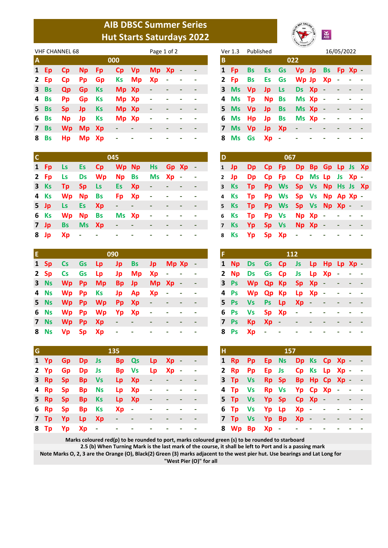## **AIB DBSC Summer Series Hut Starts Saturdays 2022**



|                | <b>VHF CHANNEL 68</b> |           |              |           |       | Page 1 of 2              |                          |                          | Ver 1.3 | Published |         |               |              |                        | 16/05/2022   |  |        |  |
|----------------|-----------------------|-----------|--------------|-----------|-------|--------------------------|--------------------------|--------------------------|---------|-----------|---------|---------------|--------------|------------------------|--------------|--|--------|--|
| $\overline{A}$ |                       |           |              |           | 000   |                          |                          |                          |         | В         |         |               |              |                        | 022          |  |        |  |
|                | 1 Ep                  | <b>Cp</b> | Np <b>N</b>  | <b>Fp</b> |       | Cp Vp                    | Mp Xp -                  |                          |         |           | 1 Fp    | <b>Bs</b>     |              | Es Gs Vp Jp Bs Fp Xp - |              |  |        |  |
|                | $2$ Ep                | <b>Cp</b> | <b>Pp</b>    | Gp        |       | Ks Mp Xp                 |                          | $\overline{\phantom{a}}$ |         |           | 2 Fp    | Bs            | Es Gs        |                        | Wp Jp $Xp -$ |  |        |  |
|                | $3$ Bs                | <b>Qp</b> | <b>Gp</b> Ks |           | Mp Xp |                          | $\sim$                   | ٠                        |         |           | 3 Ms Vp |               | Jp Ls        |                        | Ds Xp -      |  |        |  |
|                | 4 Bs                  | <b>Pp</b> | <b>Gp</b>    | <b>Ks</b> | Mp Xp |                          | $\sim$                   | ٠                        |         |           |         | 4 Ms Tp Np Bs |              |                        | $Ms$ $Xp -$  |  | $\sim$ |  |
|                | $5$ Bs                | <b>Sp</b> | - Jp         | <b>Ks</b> | Mp Xp |                          | $\overline{\phantom{a}}$ | ٠                        |         |           | 5 Ms Vp |               | <b>Jp</b> Bs |                        | Ms Xp -      |  |        |  |
|                | 6 Bs                  | <b>Np</b> | Jp.          | Ks        | Mp Xp |                          | $\overline{\phantom{a}}$ |                          |         |           |         | 6 Ms Hp Jp Bs |              |                        | Ms Xp -      |  |        |  |
|                | 7 Bs                  |           | Wp Mp Xp     |           | -     | $\overline{\phantom{a}}$ |                          |                          |         |           | 7 Ms Vp |               | Jp Xp        |                        | $\sim$ $-$   |  |        |  |
|                | 8 Bs                  | Hp        | Mp Xp        |           | ٠     |                          |                          |                          |         |           |         | 8 Ms Gs       | $Xp -$       |                        |              |  |        |  |

|              | Ver 1.3   | Published |           |           |           |           |           | 16/05/2022 |         |  |
|--------------|-----------|-----------|-----------|-----------|-----------|-----------|-----------|------------|---------|--|
| B            |           |           |           |           | 022       |           |           |            |         |  |
| 1            | Fp        | Bs        | <b>Es</b> | Gs        | Vp Jp     |           | <b>Bs</b> |            | Fp Xp - |  |
| $\mathbf{2}$ | Fp        | <b>Bs</b> | Es        | Gs        | Wp Jp     |           | Xp        | ۰          |         |  |
| 3            | <b>Ms</b> | <b>Vp</b> | Jp        | Ls        | <b>Ds</b> | <b>Xp</b> |           |            |         |  |
| 4            | <b>Ms</b> | Tp        | <b>Np</b> | <b>Bs</b> | Ms Xp     |           | $\sim$    |            |         |  |
| 5            | <b>Ms</b> | <b>Vp</b> | Jp        | <b>Bs</b> | Ms Xp     |           | $\sim$    |            |         |  |
| 6            | <b>Ms</b> | Hp        | Jp        | <b>Bs</b> | Ms Xp     |           |           |            |         |  |
| 7            | <b>Ms</b> | <b>Vp</b> | Jp        | Xp        | ٠         |           |           |            |         |  |
| 8            | Ms        | Gs        | Xp        |           |           |           |           |            |         |  |

| $\overline{c}$ |  |                                | 045 |                          |   |            |                  |
|----------------|--|--------------------------------|-----|--------------------------|---|------------|------------------|
|                |  | 1 Fp Ls Es Cp Wp Np Hs Gp Xp - |     |                          |   |            |                  |
|                |  | 2 Fp Ls Ds Wp Np Bs Ms Xp - -  |     |                          |   |            |                  |
|                |  | 3 Ks Tp Sp Ls Es Xp - - - -    |     |                          |   |            |                  |
|                |  | 4 Ks Wp Np Bs Fp Xp - - - -    |     |                          |   |            |                  |
|                |  | 5 Jp Ls Es $Xp - 1 - 1 - 1$    |     |                          |   |            | $\sim$ $-$       |
|                |  | 6 Ks Wp Np Bs Ms Xp - - - -    |     |                          |   |            |                  |
|                |  | 7 Jp Bs Ms Xp - - - -          |     |                          |   | $\sim 100$ | $\sim$ 100 $\pm$ |
|                |  | 8 Jp Xp - - - -                |     | $\overline{\phantom{a}}$ | ٠ | $\sim 100$ |                  |

| D              |           |    |           | 067       |           |                   |               |          |  |
|----------------|-----------|----|-----------|-----------|-----------|-------------------|---------------|----------|--|
| $\mathbf{1}$   | Jp        | Dp | <b>Cp</b> | <b>Fp</b> | <b>Dp</b> | Bp Gp             |               | Lp Js Xp |  |
| $\mathbf{2}$   | Jp        | Dp | <b>Cp</b> | Fp        | Cp        |                   | Ms Lp Js Xp - |          |  |
| 3              | <b>Ks</b> | Tp | Pp        | <b>Ws</b> |           | Sp Vs Np Hs Js Xp |               |          |  |
| 4              | <b>Ks</b> | Tp |           | Pp Ws     |           | Sp Vs Np Ap Xp -  |               |          |  |
| 5              | <b>Ks</b> | Tp | Pp        | <b>Ws</b> |           | Sp Vs Np Xp -     |               |          |  |
| 6              | <b>Ks</b> | Tp | Pp        | <b>Vs</b> |           | Np Xp             |               |          |  |
| $\overline{7}$ | <b>Ks</b> | Yp | <b>Sp</b> | <b>Vs</b> |           | Np Xp             | - 4           |          |  |
| 8              | <b>Ks</b> | Yp | Sp        | Xp        |           |                   |               |          |  |

| ΙE |  |                                | 090 |  |  |  |  |                                | <b>112</b> |  |  |  |
|----|--|--------------------------------|-----|--|--|--|--|--------------------------------|------------|--|--|--|
|    |  | 1 Sp Cs Gs Lp Jp Bs Jp Mp Xp - |     |  |  |  |  | 1 Np Ds Gs Cp Js Lp Hp Lp Xp - |            |  |  |  |
|    |  | 2 Sp Cs Gs Lp Jp Mp Xp - - -   |     |  |  |  |  | 2 Np Ds Gs Cp Js Lp Xp - - -   |            |  |  |  |
|    |  | 3 Ns Wp Pp Mp Bp Jp Mp Xp - -  |     |  |  |  |  | 3 Ps Wp Qp Kp Sp Xp - - - -    |            |  |  |  |
|    |  | 4 Ns Wp Pp Ks Jp Ap Xp - - -   |     |  |  |  |  | 4 Ps Wp Qp Kp Lp Xp - - - -    |            |  |  |  |
|    |  | 5 Ns Wp Pp Wp Pp Xp - - -      |     |  |  |  |  | 5 Ps Vs Ps Lp Xp - - - - -     |            |  |  |  |
|    |  | 6 Ns Wp Pp Wp Yp Xp - - - -    |     |  |  |  |  | 6 Ps Vs Sp Xp - - - - - -      |            |  |  |  |
|    |  | 7 Ns Wp Pp Xp - - - - - -      |     |  |  |  |  | 7 Ps Kp Xp - - -               |            |  |  |  |
|    |  | 8 Ns Vp Sp Xp - - - - -        |     |  |  |  |  | 8 Ps Xp - -                    |            |  |  |  |

| F            |           |           |              |                        | 112                      |               |           |        |         |  |
|--------------|-----------|-----------|--------------|------------------------|--------------------------|---------------|-----------|--------|---------|--|
| $\mathbf{1}$ | <b>Np</b> | <b>Ds</b> | Gs Cp        | $\blacklozenge$        | <b>Js</b>                | Lp Hp         |           |        | - Lp Xp |  |
| $\mathbf{2}$ | <b>Np</b> | <b>Ds</b> | Gs Cp        |                        | Js                       | <b>Lp</b>     | <b>Xp</b> | $\sim$ |         |  |
|              | 3 Ps      | <b>Wp</b> | Qp Kp        |                        | <b>Sp</b>                | Xp            | $\sim$    |        |         |  |
|              | 4 Ps      | <b>Wp</b> | <b>Qp Kp</b> |                        | Lp                       | <b>Xp</b>     | $\sim$    |        |         |  |
| 5.           | <b>Ps</b> | <b>Vs</b> | Ps           | $\mathsf{L}\mathsf{p}$ | Xp                       | $\mathcal{L}$ |           |        |         |  |
| 6.           | <b>Ps</b> | <b>Vs</b> | <b>Sp</b>    | Xp                     | $\overline{\phantom{0}}$ |               |           |        |         |  |
| 7            | <b>Ps</b> | <b>Kp</b> | Xp           | - 1                    |                          |               |           |        |         |  |
| 8            | Ps        | Xp        |              |                        |                          |               |           |        |         |  |

| G |              |                 |  | 135                      |               |                          |                          |                         |                          | I H |  | 157                          |  |  |  |
|---|--------------|-----------------|--|--------------------------|---------------|--------------------------|--------------------------|-------------------------|--------------------------|-----|--|------------------------------|--|--|--|
|   | $1 \gamma p$ | <b>Gp</b> Dp Js |  |                          | Bp Qs         | Lp Xp -                  |                          |                         |                          |     |  | 1 Rp Pp Ep Ns Dp Ks Cp Xp -  |  |  |  |
|   |              | 2 Yp Gp Dp Js   |  |                          | Bp Vs Lp Xp - |                          |                          |                         | $\sim$ $-$               |     |  | 2 Rp Pp Ep Js Cp Ks Lp Xp -  |  |  |  |
|   |              | 3 Rp Sp Bp Vs   |  |                          | Lp Xp         | $\sim$ $-$               | <b>Contract Contract</b> |                         | $\overline{\phantom{a}}$ |     |  | 3 Tp Vs Rp Sp Bp Hp Cp Xp -  |  |  |  |
|   |              | 4 Rp Sp Bp Ns   |  |                          | Lp Xp         | $\sim$ $-$               | $\sim 100$ km s $^{-1}$  | $\sim 100$ km s $^{-1}$ | $\sim$ 100 $\pm$         |     |  | 4 Tp Vs Rp Vs Yp Cp Xp - -   |  |  |  |
|   |              | 5 Rp Sp Bp Ks   |  |                          | Lp Xp         | $\sim 100$               | $\sim 100$ m $^{-1}$     | $\sim 100$ m $^{-1}$    | $\sim$ $-$               |     |  | 5 Tp Vs Yp Sp Cp Xp - - -    |  |  |  |
|   |              | 6 Rp Sp Bp Ks   |  | Xp -                     |               | <b>Contract Contract</b> | ٠                        | $\sim$ $-$              | $\sim$ 100 $\pm$         |     |  | 6 Tp Vs $Yp$ Lp $Xp$ - - - - |  |  |  |
|   |              | 7 Tp Yp Lp Xp   |  | <b>Contract Contract</b> |               | $\sim$                   | ٠                        | ٠                       | $\overline{\phantom{a}}$ |     |  | 7 Tp Vs Yp Bp Xp - - - -     |  |  |  |
|   |              |                 |  | 8 Tn Vn Xn - - - - - - - |               |                          |                          |                         |                          |     |  | 8 Wn Rn Xn - - - - - -       |  |  |  |

| G. |               |  | 135                                                  |                               |                          |                          |                      |                      |
|----|---------------|--|------------------------------------------------------|-------------------------------|--------------------------|--------------------------|----------------------|----------------------|
|    | 1 Yp Gp Dp Js |  |                                                      | Bp Qs Lp Xp -                 |                          |                          |                      |                      |
|    | 2 Yp Gp Dp Js |  |                                                      | Bp Vs Lp Xp -                 |                          |                          |                      |                      |
|    | 3 Rp Sp Bp Vs |  |                                                      | $Lp \quad Xp \quad - \quad -$ |                          |                          |                      |                      |
|    | 4 Rp Sp Bp Ns |  |                                                      | Lp Xp - - -                   |                          |                          |                      | $\sim 100$ m $^{-1}$ |
|    | 5 Rp Sp Bp Ks |  |                                                      | Lp Xp -                       |                          | <b>Contract Contract</b> | $\sim 100$ m $^{-1}$ |                      |
|    | 6 Rp Sp Bp Ks |  |                                                      | $Xp - - - - -$                |                          |                          |                      | $\sim 100$ m $^{-1}$ |
|    | 7 Tp Yp Lp Xp |  | $\alpha$ , $\alpha$ , $\alpha$ , $\alpha$ , $\alpha$ |                               | $\overline{\phantom{a}}$ | $\overline{\phantom{a}}$ | ٠                    | <b>Contract</b>      |
|    | 8 Tp Yp Xp -  |  | $\sigma_{\rm{max}}=0.5$                              |                               |                          |                          | and the company      |                      |

**Marks coloured red(p) to be rounded to port, marks coloured green (s) to be rounded to starboard**

**2.5 (b) When Turning Mark is the last mark of the course, it shall be left to Port and is a passing mark**

**Note Marks O, 2, 3 are the Orange (O), Black(2) Green (3) marks adjacent to the west pier hut. Use bearings and Lat Long for "West Pier (O)" for all**